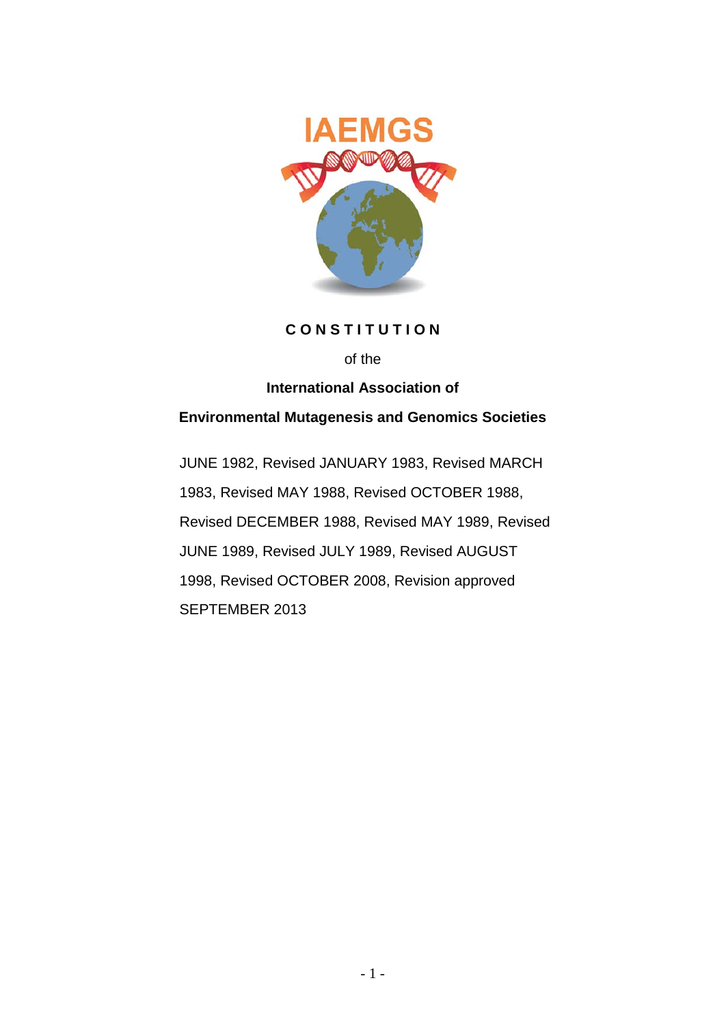

## **C O N S T I T U T I O N**

#### of the

## **International Association of**

# **Environmental Mutagenesis and Genomics Societies**

JUNE 1982, Revised JANUARY 1983, Revised MARCH 1983, Revised MAY 1988, Revised OCTOBER 1988, Revised DECEMBER 1988, Revised MAY 1989, Revised JUNE 1989, Revised JULY 1989, Revised AUGUST 1998, Revised OCTOBER 2008, Revision approved SEPTEMBER 2013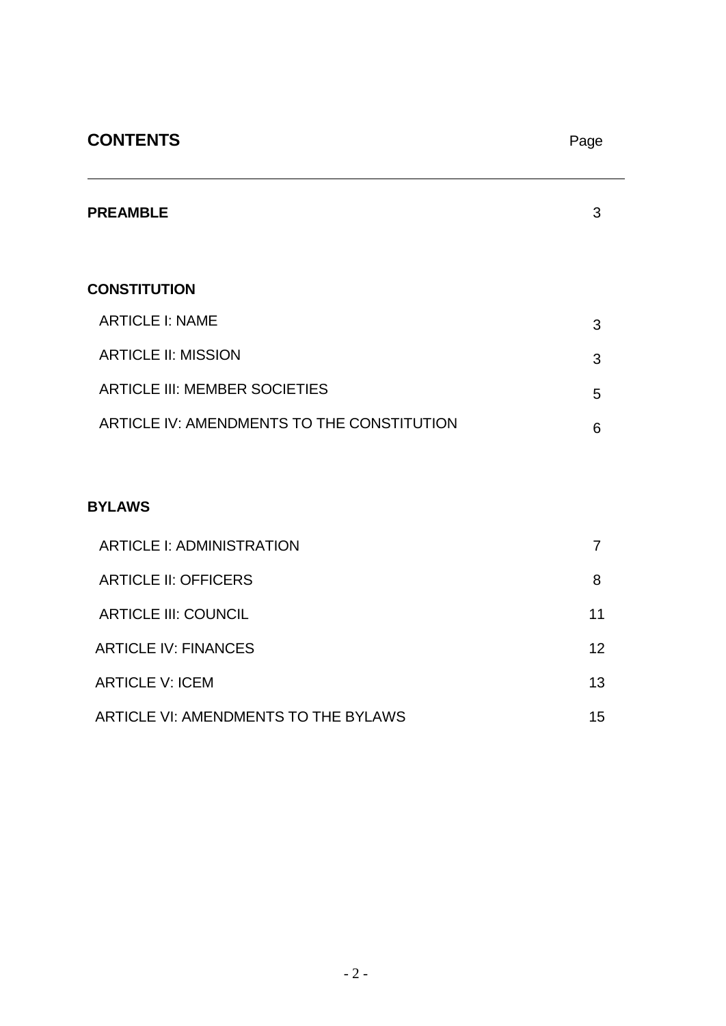# **CONTENTS** Page

| <b>PREAMBLE</b>                            | 3 |
|--------------------------------------------|---|
| <b>CONSTITUTION</b>                        |   |
| <b>ARTICLE I: NAME</b>                     | 3 |
| <b>ARTICLE II: MISSION</b>                 | 3 |
| <b>ARTICLE III: MEMBER SOCIETIES</b>       | 5 |
| ARTICLE IV: AMENDMENTS TO THE CONSTITUTION | 6 |

# **BYLAWS**

| <b>ARTICLE I: ADMINISTRATION</b>     |    |
|--------------------------------------|----|
| <b>ARTICLE II: OFFICERS</b>          | 8  |
| <b>ARTICLE III: COUNCIL</b>          | 11 |
| <b>ARTICLE IV: FINANCES</b>          | 12 |
| <b>ARTICLE V: ICEM</b>               | 13 |
| ARTICLE VI: AMENDMENTS TO THE BYLAWS | 15 |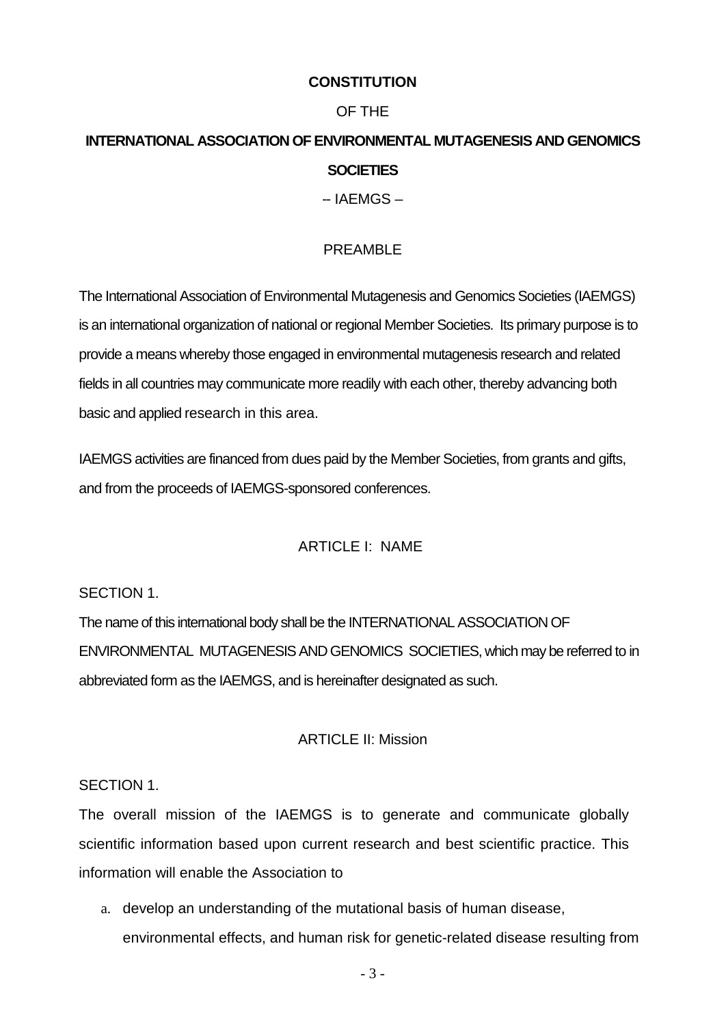# **CONSTITUTION**

# OF THE

# **INTERNATIONAL ASSOCIATION OF ENVIRONMENTAL MUTAGENESIS AND GENOMICS SOCIETIES**

-- IAEMGS –

# PRFAMBL<sub>F</sub>

The International Association of Environmental Mutagenesis and Genomics Societies (IAEMGS) is an international organization of national or regional Member Societies. Its primary purpose is to provide a means whereby those engaged in environmental mutagenesis research and related fields in all countries may communicate more readily with each other, thereby advancing both basic and applied research in this area.

IAEMGS activities are financed from dues paid by the Member Societies, from grants and gifts, and from the proceeds of IAEMGS-sponsored conferences.

# ARTICLE I: NAME

SECTION 1.

The name of this international body shall be the INTERNATIONAL ASSOCIATION OF ENVIRONMENTAL MUTAGENESIS AND GENOMICS SOCIETIES, which may be referred to in abbreviated form as the IAEMGS, and is hereinafter designated as such.

# ARTICLE II: Mission

## SECTION 1.

The overall mission of the IAEMGS is to generate and communicate globally scientific information based upon current research and best scientific practice. This information will enable the Association to

a. develop an understanding of the mutational basis of human disease, environmental effects, and human risk for genetic-related disease resulting from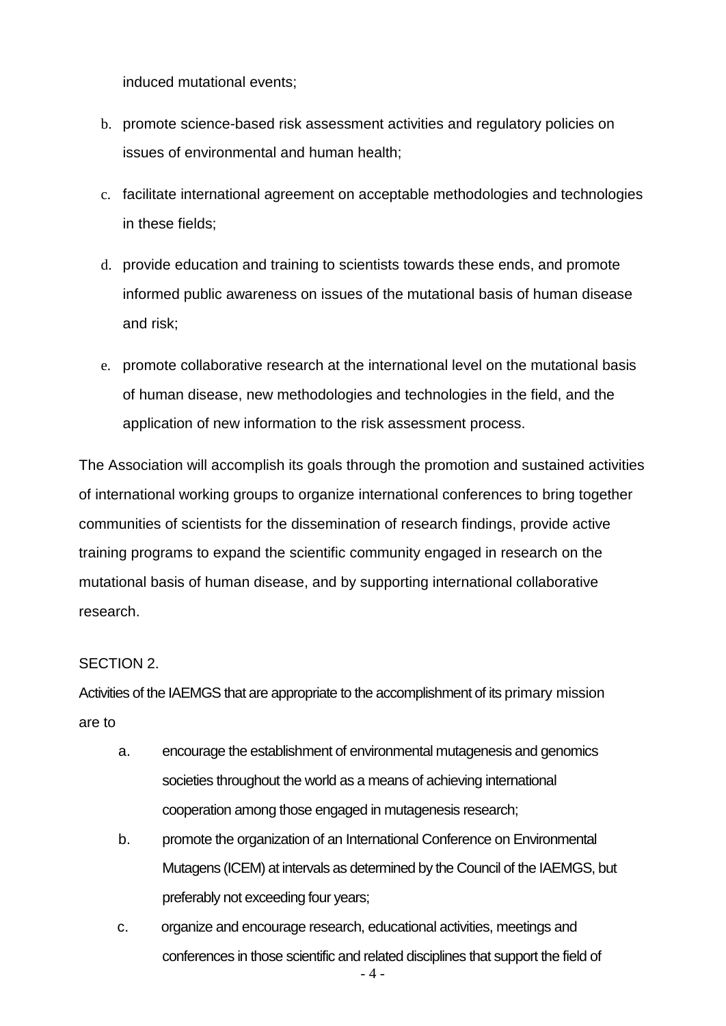induced mutational events;

- b. promote science-based risk assessment activities and regulatory policies on issues of environmental and human health;
- c. facilitate international agreement on acceptable methodologies and technologies in these fields;
- d. provide education and training to scientists towards these ends, and promote informed public awareness on issues of the mutational basis of human disease and risk;
- e. promote collaborative research at the international level on the mutational basis of human disease, new methodologies and technologies in the field, and the application of new information to the risk assessment process.

The Association will accomplish its goals through the promotion and sustained activities of international working groups to organize international conferences to bring together communities of scientists for the dissemination of research findings, provide active training programs to expand the scientific community engaged in research on the mutational basis of human disease, and by supporting international collaborative research.

## SECTION 2.

Activities of the IAEMGS that are appropriate to the accomplishment of its primary mission are to

- a. encourage the establishment of environmental mutagenesis and genomics societies throughout the world as a means of achieving international cooperation among those engaged in mutagenesis research;
- b. promote the organization of an International Conference on Environmental Mutagens (ICEM) at intervals as determined by the Council of the IAEMGS, but preferably not exceeding four years;
- 4 c. organize and encourage research, educational activities, meetings and conferences in those scientific and related disciplines that support the field of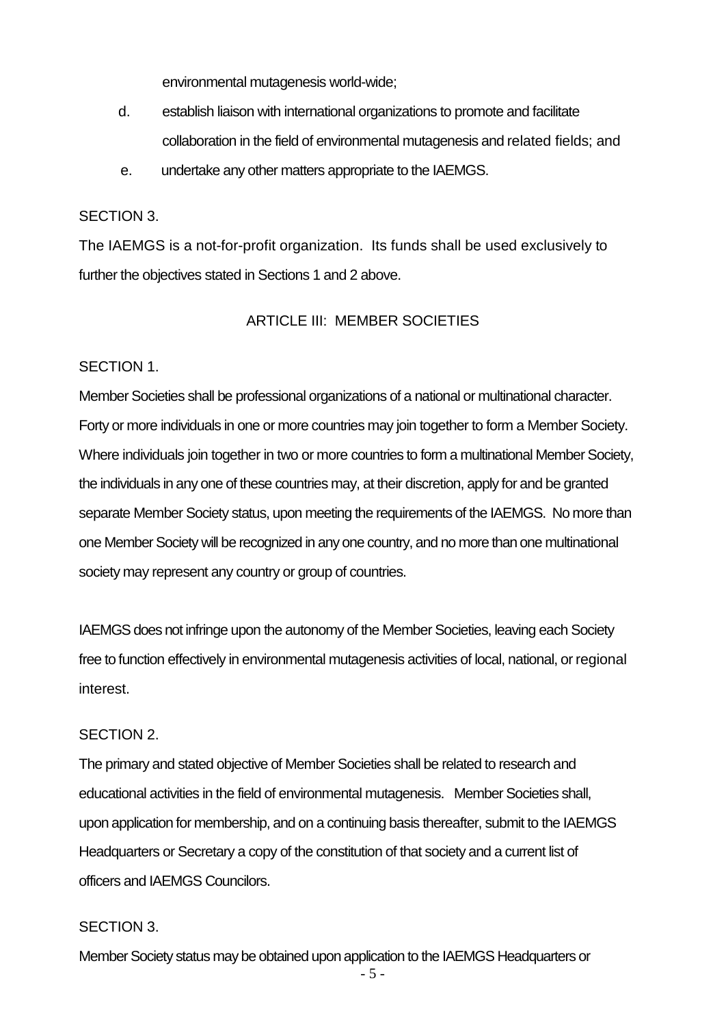environmental mutagenesis world-wide;

- d. establish liaison with international organizations to promote and facilitate collaboration in the field of environmental mutagenesis and related fields; and
- e. undertake any other matters appropriate to the IAEMGS.

# SECTION 3.

The IAEMGS is a not-for-profit organization. Its funds shall be used exclusively to further the objectives stated in Sections 1 and 2 above.

## ARTICLE III: MEMBER SOCIETIES

#### SECTION 1.

Member Societies shall be professional organizations of a national or multinational character. Forty or more individuals in one or more countries may join together to form a Member Society. Where individuals join together in two or more countries to form a multinational Member Society, the individuals in any one of these countries may, at their discretion, apply for and be granted separate Member Society status, upon meeting the requirements of the IAEMGS. No more than one Member Society will be recognized in any one country, and no more than one multinational society may represent any country or group of countries.

IAEMGS does not infringe upon the autonomy of the Member Societies, leaving each Society free to function effectively in environmental mutagenesis activities of local, national, or regional interest.

## SECTION 2.

The primary and stated objective of Member Societies shall be related to research and educational activities in the field of environmental mutagenesis. Member Societies shall, upon application for membership, and on a continuing basis thereafter, submit to the IAEMGS Headquarters or Secretary a copy of the constitution of that society and a current list of officers and IAEMGS Councilors.

#### SECTION 3.

Member Society status may be obtained upon application to the IAEMGS Headquarters or

- 5 -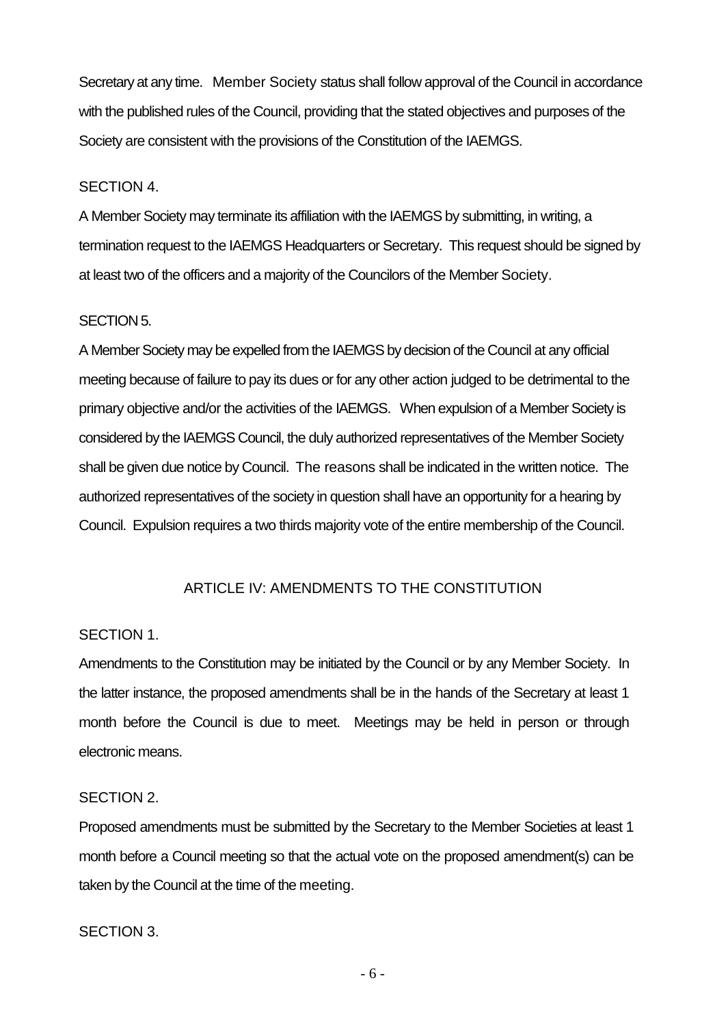Secretary at any time. Member Society status shall follow approval of the Council in accordance with the published rules of the Council, providing that the stated objectives and purposes of the Society are consistent with the provisions of the Constitution of the IAEMGS.

#### SECTION 4.

A Member Society may terminate its affiliation with the IAEMGS by submitting, in writing, a termination request to the IAEMGS Headquarters or Secretary. This request should be signed by at least two of the officers and a majority of the Councilors of the Member Society.

#### SECTION 5.

A Member Society may be expelled from the IAEMGS by decision of the Council at any official meeting because of failure to pay its dues or for any other action judged to be detrimental to the primary objective and/or the activities of the IAEMGS. When expulsion of a Member Society is considered by the IAEMGS Council, the duly authorized representatives of the Member Society shall be given due notice by Council. The reasons shall be indicated in the written notice. The authorized representatives of the society in question shall have an opportunity for a hearing by Council. Expulsion requires a two thirds majority vote of the entire membership of the Council.

## ARTICLE IV: AMENDMENTS TO THE CONSTITUTION

## SECTION 1.

Amendments to the Constitution may be initiated by the Council or by any Member Society. In the latter instance, the proposed amendments shall be in the hands of the Secretary at least 1 month before the Council is due to meet. Meetings may be held in person or through electronic means.

## SECTION 2.

Proposed amendments must be submitted by the Secretary to the Member Societies at least 1 month before a Council meeting so that the actual vote on the proposed amendment(s) can be taken by the Council at the time of the meeting.

## SECTION 3.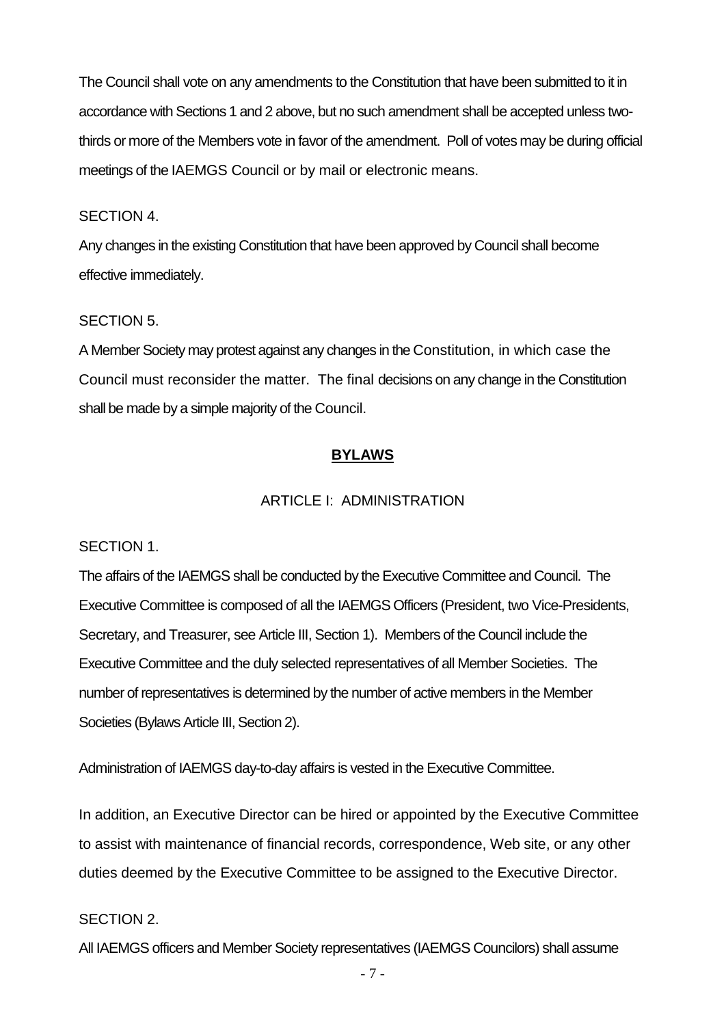The Council shall vote on any amendments to the Constitution that have been submitted to it in accordance with Sections 1 and 2 above, but no such amendment shall be accepted unless twothirds or more of the Members vote in favor of the amendment. Poll of votes may be during official meetings of the IAEMGS Council or by mail or electronic means.

#### SECTION 4.

Any changes in the existing Constitution that have been approved by Council shall become effective immediately.

#### SECTION 5.

A Member Society may protest against any changes in the Constitution, in which case the Council must reconsider the matter. The final decisions on any change in the Constitution shall be made by a simple majority of the Council.

## **BYLAWS**

# ARTICLE I: ADMINISTRATION

#### SECTION 1.

The affairs of the IAEMGS shall be conducted by the Executive Committee and Council. The Executive Committee is composed of all the IAEMGS Officers (President, two Vice-Presidents, Secretary, and Treasurer, see Article III, Section 1). Members of the Council include the Executive Committee and the duly selected representatives of all Member Societies. The number of representatives is determined by the number of active members in the Member Societies (Bylaws Article III, Section 2).

Administration of IAEMGS day-to-day affairs is vested in the Executive Committee.

In addition, an Executive Director can be hired or appointed by the Executive Committee to assist with maintenance of financial records, correspondence, Web site, or any other duties deemed by the Executive Committee to be assigned to the Executive Director.

#### SECTION 2.

All IAEMGS officers and Member Society representatives (IAEMGS Councilors) shall assume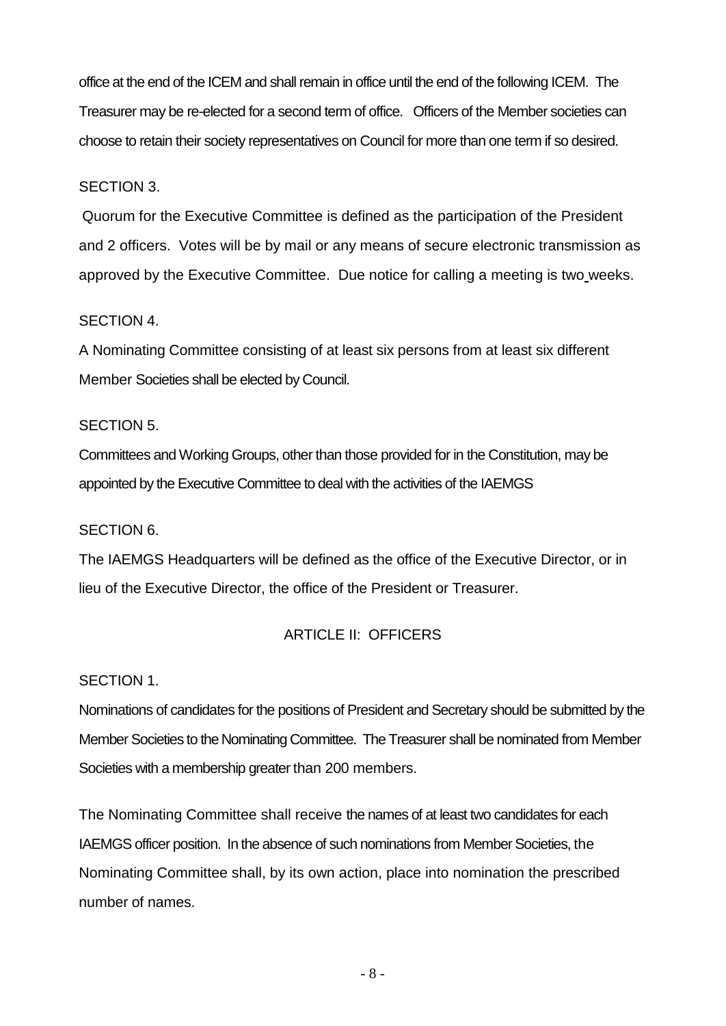office at the end of the ICEM and shall remain in office until the end of the following ICEM. The Treasurer may be re-elected for a second term of office. Officers of the Member societies can choose to retain their society representatives on Council for more than one term if so desired.

# SECTION 3.

Quorum for the Executive Committee is defined as the participation of the President and 2 officers. Votes will be by mail or any means of secure electronic transmission as approved by the Executive Committee. Due notice for calling a meeting is two weeks.

# SECTION 4.

A Nominating Committee consisting of at least six persons from at least six different Member Societies shall be elected by Council.

# SECTION 5.

Committees and Working Groups, other than those provided for in the Constitution, may be appointed by the Executive Committee to deal with the activities of the IAEMGS

# SECTION 6.

The IAEMGS Headquarters will be defined as the office of the Executive Director, or in lieu of the Executive Director, the office of the President or Treasurer.

# ARTICLE II: OFFICERS

## SECTION 1.

Nominations of candidates for the positions of President and Secretary should be submitted by the Member Societies to the Nominating Committee. The Treasurer shall be nominated from Member Societies with a membership greater than 200 members.

The Nominating Committee shall receive the names of at least two candidates for each IAEMGS officer position. In the absence of such nominations from Member Societies, the Nominating Committee shall, by its own action, place into nomination the prescribed number of names.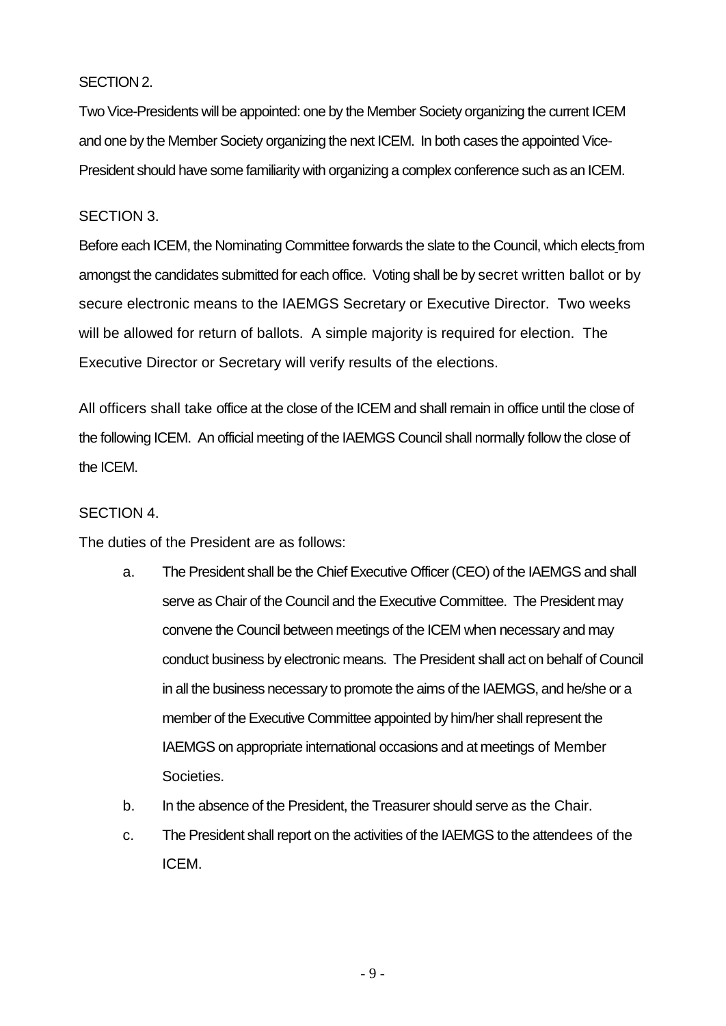#### SECTION 2.

Two Vice-Presidents will be appointed: one by the Member Society organizing the current ICEM and one by the Member Society organizing the next ICEM. In both cases the appointed Vice-President should have some familiarity with organizing a complex conference such as an ICEM.

#### SECTION 3.

Before each ICEM, the Nominating Committee forwards the slate to the Council, which elects from amongst the candidates submitted for each office. Voting shall be by secret written ballot or by secure electronic means to the IAEMGS Secretary or Executive Director. Two weeks will be allowed for return of ballots. A simple majority is required for election. The Executive Director or Secretary will verify results of the elections.

All officers shall take office at the close of the ICEM and shall remain in office until the close of the following ICEM. An official meeting of the IAEMGS Council shall normally follow the close of the ICEM.

#### SECTION 4.

The duties of the President are as follows:

- a. The President shall be the Chief Executive Officer (CEO) of the IAEMGS and shall serve as Chair of the Council and the Executive Committee. The President may convene the Council between meetings of the ICEM when necessary and may conduct business by electronic means. The President shall act on behalf of Council in all the business necessary to promote the aims of the IAEMGS, and he/she or a member of the Executive Committee appointed by him/her shall represent the IAEMGS on appropriate international occasions and at meetings of Member Societies.
- b. In the absence of the President, the Treasurer should serve as the Chair.
- c. The President shall report on the activities of the IAEMGS to the attendees of the ICEM.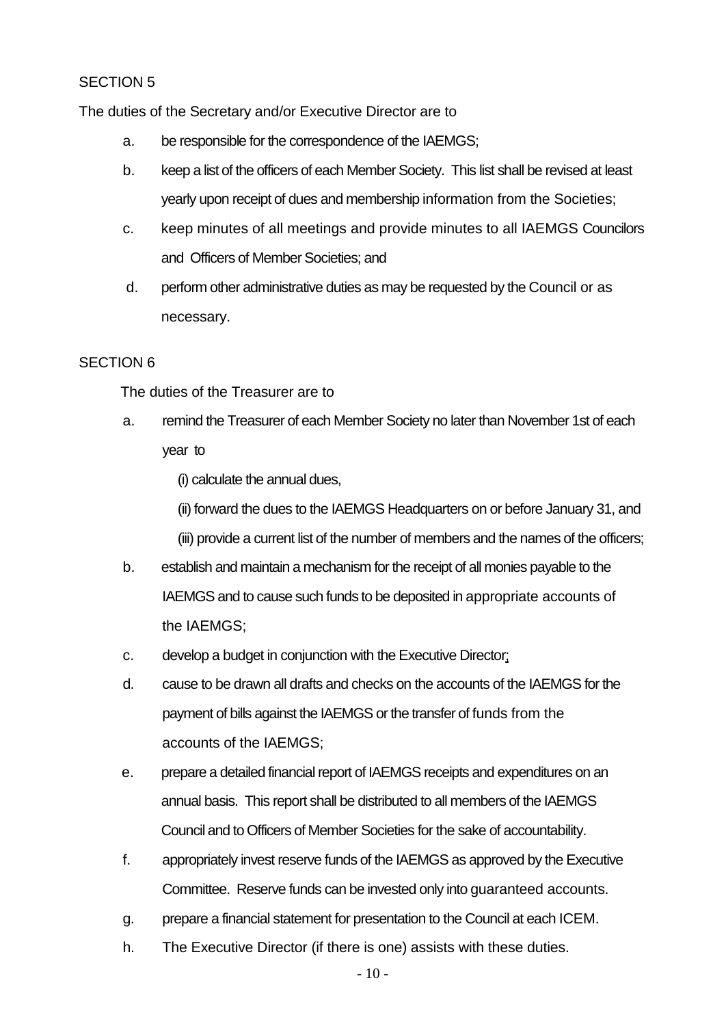# SECTION 5

The duties of the Secretary and/or Executive Director are to

- a. be responsible for the correspondence of the IAEMGS;
- b. keep a list of the officers of each Member Society. This list shall be revised at least yearly upon receipt of dues and membership information from the Societies;
- c. keep minutes of all meetings and provide minutes to all IAEMGS Councilors and Officers of Member Societies; and
- d. perform other administrative duties as may be requested by the Council or as necessary.

#### SECTION 6

The duties of the Treasurer are to

a. remind the Treasurer of each Member Society no later than November 1st of each year to

(i) calculate the annual dues,

(ii) forward the dues to the IAEMGS Headquarters on or before January 31, and

- (iii) provide a current list of the number of members and the names of the officers;
- b. establish and maintain a mechanism for the receipt of all monies payable to the IAEMGS and to cause such funds to be deposited in appropriate accounts of the IAEMGS;
- c. develop a budget in conjunction with the Executive Director:
- d. cause to be drawn all drafts and checks on the accounts of the IAEMGS for the payment of bills against the IAEMGS or the transfer of funds from the accounts of the IAEMGS;
- e. prepare a detailed financial report of IAEMGS receipts and expenditures on an annual basis. This report shall be distributed to all members of the IAEMGS Council and to Officers of Member Societies for the sake of accountability.
- f. appropriately invest reserve funds of the IAEMGS as approved by the Executive Committee. Reserve funds can be invested only into guaranteed accounts.
- g. prepare a financial statement for presentation to the Council at each ICEM.
- h. The Executive Director (if there is one) assists with these duties.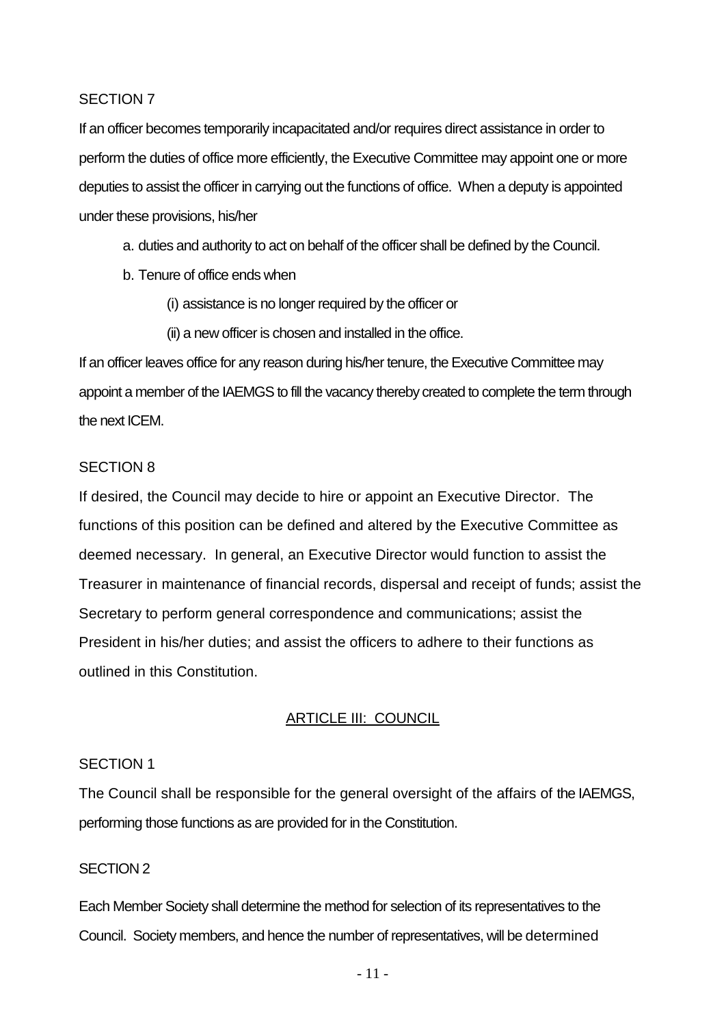#### SECTION 7

If an officer becomes temporarily incapacitated and/or requires direct assistance in order to perform the duties of office more efficiently, the Executive Committee may appoint one or more deputies to assist the officer in carrying out the functions of office. When a deputy is appointed under these provisions, his/her

a. duties and authority to act on behalf of the officer shall be defined by the Council.

- b. Tenure of office ends when
	- (i) assistance is no longer required by the officer or
	- (ii) a new officer is chosen and installed in the office.

If an officer leaves office for any reason during his/her tenure, the Executive Committee may appoint a member of the IAEMGS to fill the vacancy thereby created to complete the term through the next ICEM.

#### SECTION 8

If desired, the Council may decide to hire or appoint an Executive Director. The functions of this position can be defined and altered by the Executive Committee as deemed necessary. In general, an Executive Director would function to assist the Treasurer in maintenance of financial records, dispersal and receipt of funds; assist the Secretary to perform general correspondence and communications; assist the President in his/her duties; and assist the officers to adhere to their functions as outlined in this Constitution.

## ARTICLE III: COUNCIL

#### SECTION 1

The Council shall be responsible for the general oversight of the affairs of the IAEMGS, performing those functions as are provided for in the Constitution.

## SECTION 2

Each Member Society shall determine the method for selection of its representatives to the Council. Society members, and hence the number of representatives, will be determined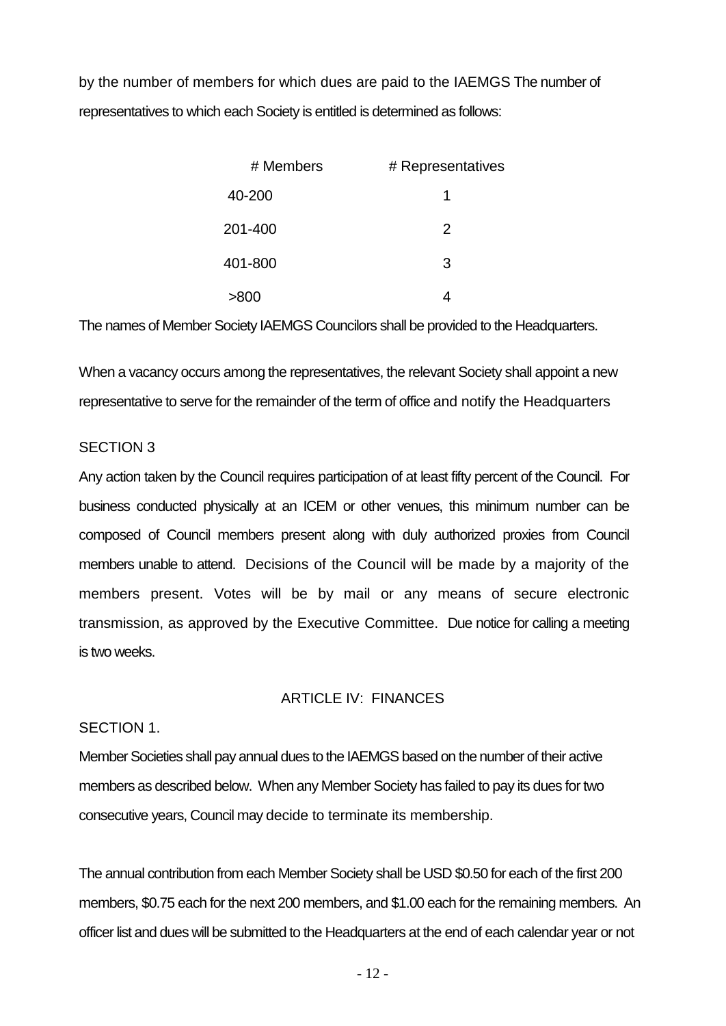by the number of members for which dues are paid to the IAEMGS The number of representatives to which each Society is entitled is determined as follows:

| # Members | # Representatives |
|-----------|-------------------|
| 40-200    |                   |
| 201-400   | 2                 |
| 401-800   | 3                 |
| >800      |                   |

The names of Member Society IAEMGS Councilors shall be provided to the Headquarters.

When a vacancy occurs among the representatives, the relevant Society shall appoint a new representative to serve for the remainder of the term of office and notify the Headquarters

# SECTION 3

Any action taken by the Council requires participation of at least fifty percent of the Council. For business conducted physically at an ICEM or other venues, this minimum number can be composed of Council members present along with duly authorized proxies from Council members unable to attend. Decisions of the Council will be made by a majority of the members present. Votes will be by mail or any means of secure electronic transmission, as approved by the Executive Committee. Due notice for calling a meeting is two weeks.

#### ARTICLE IV: FINANCES

## SECTION 1.

Member Societies shall pay annual dues to the IAEMGS based on the number of their active members as described below. When any Member Society has failed to pay its dues for two consecutive years, Council may decide to terminate its membership.

The annual contribution from each Member Society shall be USD \$0.50 for each of the first 200 members, \$0.75 each for the next 200 members, and \$1.00 each for the remaining members. An officer list and dues will be submitted to the Headquarters at the end of each calendar year or not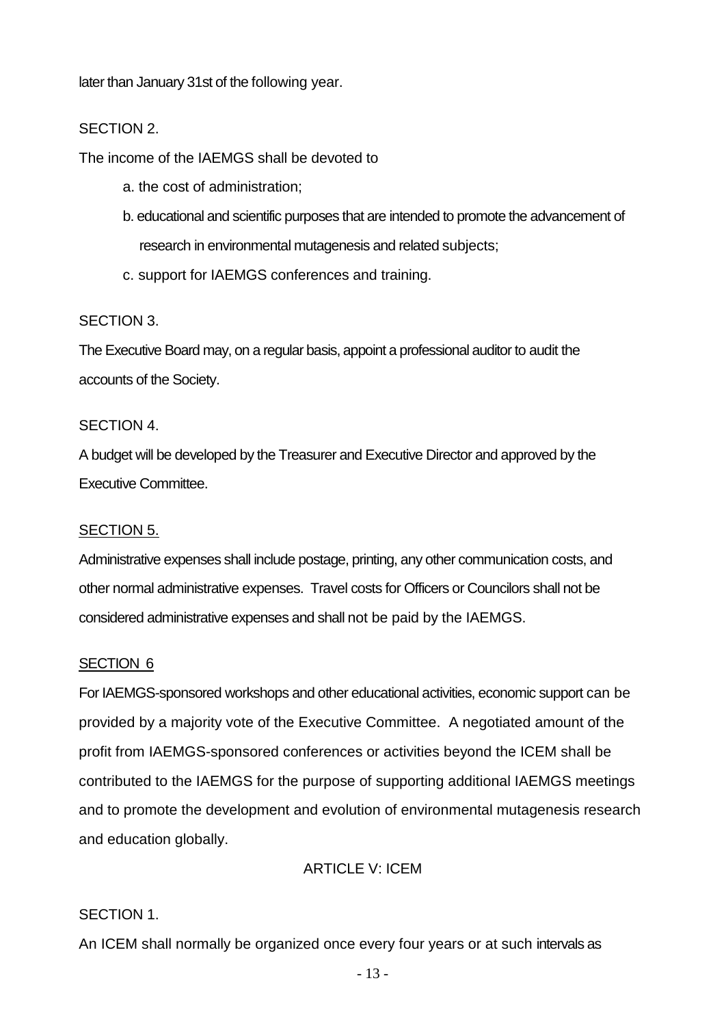later than January 31st of the following year.

# SECTION 2.

The income of the IAEMGS shall be devoted to

- a. the cost of administration;
- b. educational and scientific purposes that are intended to promote the advancement of research in environmental mutagenesis and related subjects;
- c. support for IAEMGS conferences and training.

#### SECTION 3.

The Executive Board may, on a regular basis, appoint a professional auditor to audit the accounts of the Society.

#### SECTION 4.

A budget will be developed by the Treasurer and Executive Director and approved by the Executive Committee.

#### SECTION 5.

Administrative expenses shall include postage, printing, any other communication costs, and other normal administrative expenses. Travel costs for Officers or Councilors shall not be considered administrative expenses and shall not be paid by the IAEMGS.

#### SECTION 6

For IAEMGS-sponsored workshops and other educational activities, economic support can be provided by a majority vote of the Executive Committee. A negotiated amount of the profit from IAEMGS-sponsored conferences or activities beyond the ICEM shall be contributed to the IAEMGS for the purpose of supporting additional IAEMGS meetings and to promote the development and evolution of environmental mutagenesis research and education globally.

# ARTICLE V: ICEM

## SECTION 1.

An ICEM shall normally be organized once every four years or at such intervals as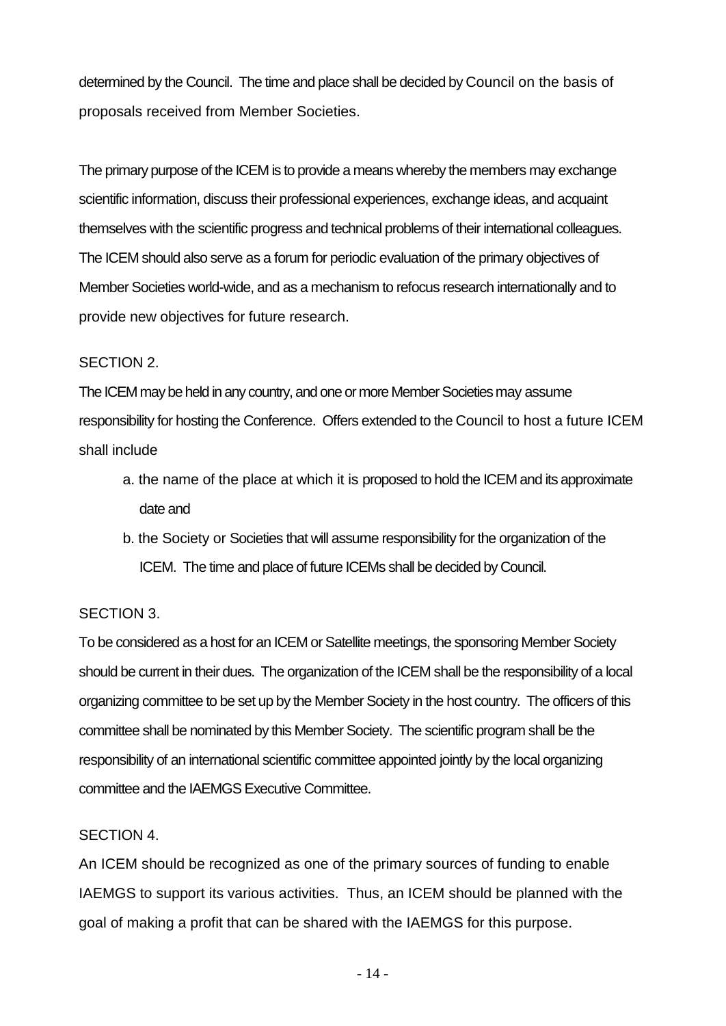determined by the Council. The time and place shall be decided by Council on the basis of proposals received from Member Societies.

The primary purpose of the ICEM is to provide a means whereby the members may exchange scientific information, discuss their professional experiences, exchange ideas, and acquaint themselves with the scientific progress and technical problems of their international colleagues. The ICEM should also serve as a forum for periodic evaluation of the primary objectives of Member Societies world-wide, and as a mechanism to refocus research internationally and to provide new objectives for future research.

#### SECTION 2.

The ICEM may be held in any country, and one or more Member Societies may assume responsibility for hosting the Conference. Offers extended to the Council to host a future ICEM shall include

- a. the name of the place at which it is proposed to hold the ICEM and its approximate date and
- b. the Society or Societies that will assume responsibility for the organization of the ICEM. The time and place of future ICEMs shall be decided by Council.

## SECTION 3.

To be considered as a host for an ICEM or Satellite meetings, the sponsoring Member Society should be current in their dues. The organization of the ICEM shall be the responsibility of a local organizing committee to be set up by the Member Society in the host country. The officers of this committee shall be nominated by this Member Society. The scientific program shall be the responsibility of an international scientific committee appointed jointly by the local organizing committee and the IAEMGS Executive Committee.

## SECTION 4.

An ICEM should be recognized as one of the primary sources of funding to enable IAEMGS to support its various activities. Thus, an ICEM should be planned with the goal of making a profit that can be shared with the IAEMGS for this purpose.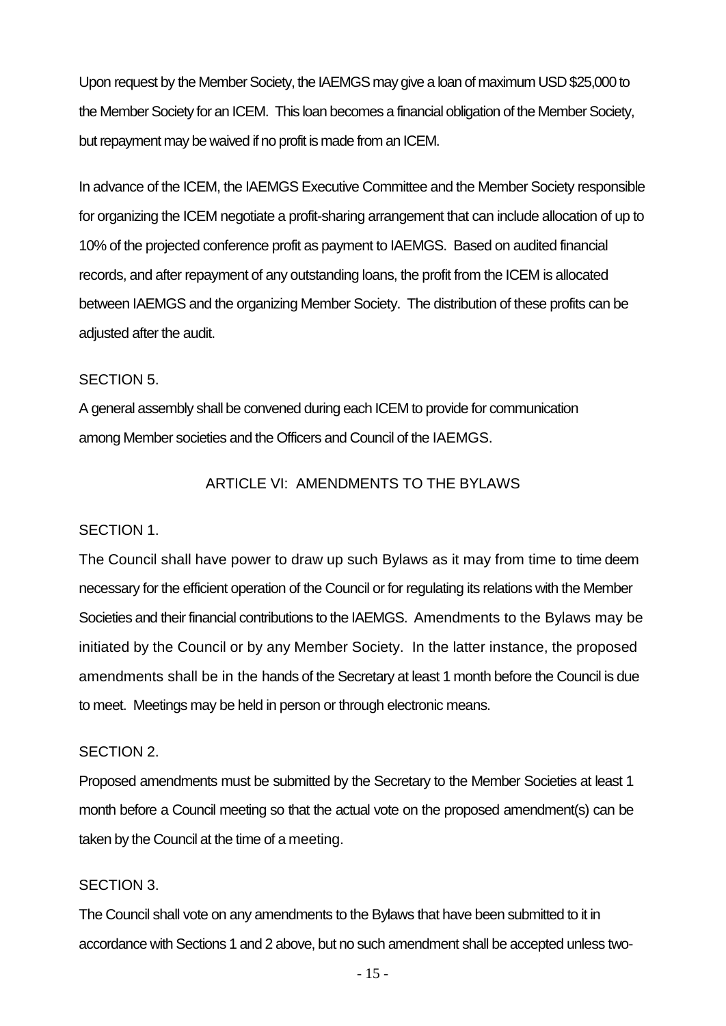Upon request by the Member Society, the IAEMGS may give a loan of maximum USD \$25,000 to the Member Society for an ICEM. This loan becomes a financial obligation of the Member Society, but repayment may be waived if no profit is made from an ICEM.

In advance of the ICEM, the IAEMGS Executive Committee and the Member Society responsible for organizing the ICEM negotiate a profit-sharing arrangement that can include allocation of up to 10% of the projected conference profit as payment to IAEMGS. Based on audited financial records, and after repayment of any outstanding loans, the profit from the ICEM is allocated between IAEMGS and the organizing Member Society. The distribution of these profits can be adjusted after the audit.

#### SECTION 5.

A general assembly shall be convened during each ICEM to provide for communication among Member societies and the Officers and Council of the IAEMGS.

# ARTICLE VI: AMENDMENTS TO THE BYLAWS

## SECTION 1.

The Council shall have power to draw up such Bylaws as it may from time to time deem necessary for the efficient operation of the Council or for regulating its relations with the Member Societies and their financial contributions to the IAEMGS. Amendments to the Bylaws may be initiated by the Council or by any Member Society. In the latter instance, the proposed amendments shall be in the hands of the Secretary at least 1 month before the Council is due to meet. Meetings may be held in person or through electronic means.

#### SECTION 2.

Proposed amendments must be submitted by the Secretary to the Member Societies at least 1 month before a Council meeting so that the actual vote on the proposed amendment(s) can be taken by the Council at the time of a meeting.

#### SECTION 3.

The Council shall vote on any amendments to the Bylaws that have been submitted to it in accordance with Sections 1 and 2 above, but no such amendment shall be accepted unless two-

- 15 -